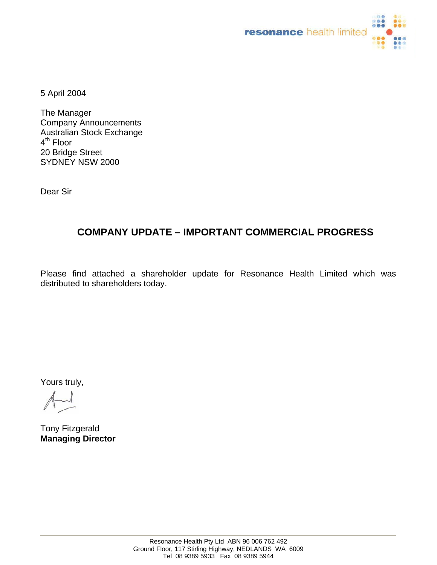

5 April 2004

The Manager Company Announcements Australian Stock Exchange 4<sup>th</sup> Floor 20 Bridge Street SYDNEY NSW 2000

Dear Sir

# **COMPANY UPDATE – IMPORTANT COMMERCIAL PROGRESS**

Please find attached a shareholder update for Resonance Health Limited which was distributed to shareholders today.

Yours truly,

Tony Fitzgerald **Managing Director**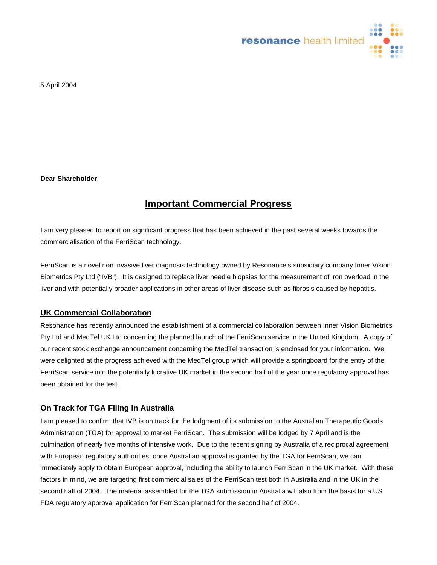

5 April 2004

**Dear Shareholder**,

# **Important Commercial Progress**

I am very pleased to report on significant progress that has been achieved in the past several weeks towards the commercialisation of the FerriScan technology.

FerriScan is a novel non invasive liver diagnosis technology owned by Resonance's subsidiary company Inner Vision Biometrics Pty Ltd ("IVB"). It is designed to replace liver needle biopsies for the measurement of iron overload in the liver and with potentially broader applications in other areas of liver disease such as fibrosis caused by hepatitis.

# **UK Commercial Collaboration**

Resonance has recently announced the establishment of a commercial collaboration between Inner Vision Biometrics Pty Ltd and MedTel UK Ltd concerning the planned launch of the FerriScan service in the United Kingdom. A copy of our recent stock exchange announcement concerning the MedTel transaction is enclosed for your information. We were delighted at the progress achieved with the MedTel group which will provide a springboard for the entry of the FerriScan service into the potentially lucrative UK market in the second half of the year once regulatory approval has been obtained for the test.

#### **On Track for TGA Filing in Australia**

I am pleased to confirm that IVB is on track for the lodgment of its submission to the Australian Therapeutic Goods Administration (TGA) for approval to market FerriScan. The submission will be lodged by 7 April and is the culmination of nearly five months of intensive work. Due to the recent signing by Australia of a reciprocal agreement with European regulatory authorities, once Australian approval is granted by the TGA for FerriScan, we can immediately apply to obtain European approval, including the ability to launch FerriScan in the UK market. With these factors in mind, we are targeting first commercial sales of the FerriScan test both in Australia and in the UK in the second half of 2004. The material assembled for the TGA submission in Australia will also from the basis for a US FDA regulatory approval application for FerriScan planned for the second half of 2004.